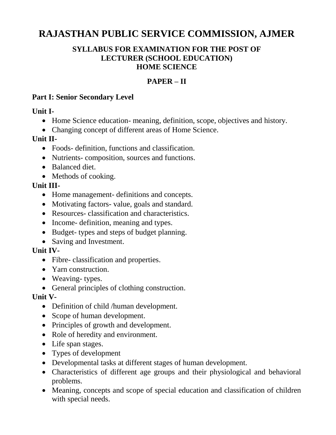# **RAJASTHAN PUBLIC SERVICE COMMISSION, AJMER**

#### **SYLLABUS FOR EXAMINATION FOR THE POST OF LECTURER (SCHOOL EDUCATION) HOME SCIENCE**

### **PAPER – II**

#### **Part I: Senior Secondary Level**

**Unit I-** 

- Home Science education- meaning, definition, scope, objectives and history.
- Changing concept of different areas of Home Science.

#### **Unit II-**

- Foods- definition, functions and classification.
- Nutrients- composition, sources and functions.
- Balanced diet.
- Methods of cooking.

#### **Unit III-**

- Home management- definitions and concepts.
- Motivating factors- value, goals and standard.
- Resources- classification and characteristics.
- Income- definition, meaning and types.
- Budget- types and steps of budget planning.
- Saving and Investment.

#### **Unit IV-**

- Fibre- classification and properties.
- Yarn construction.
- Weaving-types.
- General principles of clothing construction.

#### **Unit V-**

- Definition of child /human development.
- Scope of human development.
- Principles of growth and development.
- Role of heredity and environment.
- Life span stages.
- Types of development
- Developmental tasks at different stages of human development.
- Characteristics of different age groups and their physiological and behavioral problems.
- Meaning, concepts and scope of special education and classification of children with special needs.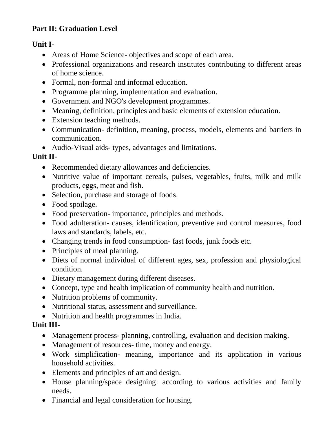### **Part II: Graduation Level**

#### **Unit I-**

- Areas of Home Science- objectives and scope of each area.
- Professional organizations and research institutes contributing to different areas of home science.
- Formal, non-formal and informal education.
- Programme planning, implementation and evaluation.
- Government and NGO's development programmes.
- Meaning, definition, principles and basic elements of extension education.
- Extension teaching methods.
- Communication- definition, meaning, process, models, elements and barriers in communication.
- Audio-Visual aids- types, advantages and limitations.

#### **Unit II-**

- Recommended dietary allowances and deficiencies.
- Nutritive value of important cereals, pulses, vegetables, fruits, milk and milk products, eggs, meat and fish.
- Selection, purchase and storage of foods.
- Food spoilage.
- Food preservation- importance, principles and methods.
- Food adulteration- causes, identification, preventive and control measures, food laws and standards, labels, etc.
- Changing trends in food consumption- fast foods, junk foods etc.
- Principles of meal planning.
- Diets of normal individual of different ages, sex, profession and physiological condition.
- Dietary management during different diseases.
- Concept, type and health implication of community health and nutrition.
- Nutrition problems of community.
- Nutritional status, assessment and surveillance.
- Nutrition and health programmes in India.

#### **Unit III-**

- Management process- planning, controlling, evaluation and decision making.
- Management of resources- time, money and energy.
- Work simplification- meaning, importance and its application in various household activities.
- Elements and principles of art and design.
- House planning/space designing: according to various activities and family needs.
- Financial and legal consideration for housing.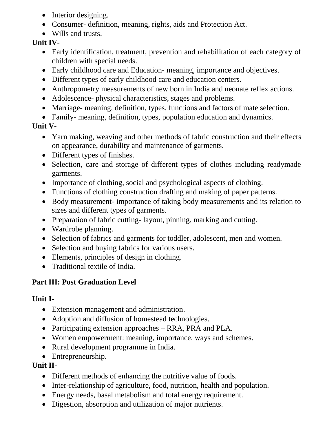- Interior designing.
- Consumer- definition, meaning, rights, aids and Protection Act.
- Wills and trusts.

### **Unit IV-**

- Early identification, treatment, prevention and rehabilitation of each category of children with special needs.
- Early childhood care and Education- meaning, importance and objectives.
- Different types of early childhood care and education centers.
- Anthropometry measurements of new born in India and neonate reflex actions.
- Adolescence- physical characteristics, stages and problems.
- Marriage- meaning, definition, types, functions and factors of mate selection.
- Family- meaning, definition, types, population education and dynamics.

# **Unit V-**

- Yarn making, weaving and other methods of fabric construction and their effects on appearance, durability and maintenance of garments.
- Different types of finishes.
- Selection, care and storage of different types of clothes including readymade garments.
- Importance of clothing, social and psychological aspects of clothing.
- Functions of clothing construction drafting and making of paper patterns.
- Body measurement- importance of taking body measurements and its relation to sizes and different types of garments.
- Preparation of fabric cutting-layout, pinning, marking and cutting.
- Wardrobe planning.
- Selection of fabrics and garments for toddler, adolescent, men and women.
- Selection and buying fabrics for various users.
- Elements, principles of design in clothing.
- Traditional textile of India.

# **Part III: Post Graduation Level**

# **Unit I-**

- Extension management and administration.
- Adoption and diffusion of homestead technologies.
- Participating extension approaches RRA, PRA and PLA.
- Women empowerment: meaning, importance, ways and schemes.
- Rural development programme in India.
- Entrepreneurship.

# **Unit II-**

- Different methods of enhancing the nutritive value of foods.
- Inter-relationship of agriculture, food, nutrition, health and population.
- Energy needs, basal metabolism and total energy requirement.
- Digestion, absorption and utilization of major nutrients.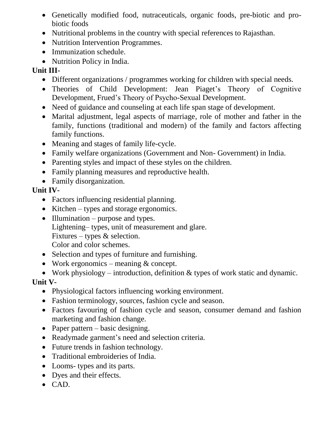- Genetically modified food, nutraceuticals, organic foods, pre-biotic and probiotic foods
- Nutritional problems in the country with special references to Rajasthan.
- Nutrition Intervention Programmes.
- Immunization schedule.
- Nutrition Policy in India.

### **Unit III-**

- Different organizations / programmes working for children with special needs.
- Theories of Child Development: Jean Piaget's Theory of Cognitive Development, Frued's Theory of Psycho-Sexual Development.
- Need of guidance and counseling at each life span stage of development.
- Marital adjustment, legal aspects of marriage, role of mother and father in the family, functions (traditional and modern) of the family and factors affecting family functions.
- Meaning and stages of family life-cycle.
- Family welfare organizations (Government and Non- Government) in India.
- Parenting styles and impact of these styles on the children.
- Family planning measures and reproductive health.
- Family disorganization.

#### **Unit IV-**

- Factors influencing residential planning.
- Kitchen types and storage ergonomics.
- $\bullet$  Illumination purpose and types. Lightening– types, unit of measurement and glare. Fixtures – types & selection. Color and color schemes.
- Selection and types of furniture and furnishing.
- Work ergonomics meaning & concept.
- Work physiology introduction, definition & types of work static and dynamic.

# **Unit V-**

- Physiological factors influencing working environment.
- Fashion terminology, sources, fashion cycle and season.
- Factors favouring of fashion cycle and season, consumer demand and fashion marketing and fashion change.
- Paper pattern basic designing.
- Readymade garment's need and selection criteria.
- Future trends in fashion technology.
- Traditional embroideries of India.
- Looms- types and its parts.
- Dyes and their effects.
- $\bullet$  CAD.